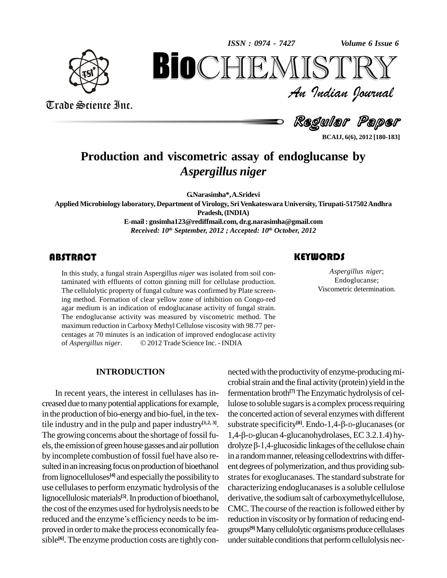*Volume 6 Issue 6*



Trade Science Inc.

Trade Science Inc.

*Volume 6 Issue 6*<br> $\begin{array}{c} \text{Volume of } \text{I} \text{S} \text{I} \text{I} \text{R} \text{I} \text{I} \ \text{J} \text{of } \text{J} \text{of } \text{J} \text{of } \text{J} \text{of } \text{J} \text{of } \text{J} \text{of } \text{J} \text{of } \text{J} \text{of } \text{J} \text{of } \text{J} \text{of } \text{J} \text{of } \text{J} \text{of } \text{J} \text{of } \text{J} \text{of } \text{J} \text{of } \text{$ **BioCHEMISTRY**<br>Au Indian Journal<br>Regular Paper<br>nd viscometric assay of endoglucanse by<br>Aspergillus niger

Regular Paper

**BCAIJ, 6(6), 2012 [180-183]**

# **Production and viscometric assay of endoglucanse by** *Aspergillus niger*

**G.Narasimha\*,A.Sridevi**

**Applied Microbiology laboratory, Department of Virology, SriVenkateswara University,Tirupati-517502Andhra Pradesh,(INDIA) E-mail : [gnsimha123@rediffmail.com,](mailto:gnsimha123@rediffmail.com,) [dr.g.narasimha@gmail.com](mailto:dr.g.narasimha@gmail.com)**

*Received: 10 th September, 2012 ; Accepted: 10 th October, 2012*

### **ABSTRACT**

In this study, a fungal stra<br>taminated with effluents<br>The cellulolytic property In this study, a fungal strain Aspergillus *niger* was isolated from soil contaminated with effluents of cotton ginning mill for cellulase production. The cellulolytic property of fungal culture was confirmed by Plate screening method. Formation of clear yellow zone of inhibition on Congo-red agar medium is an indication of endoglucanase activity of fungal strain. The endoglucanse activity was measured by viscometric method. The maximum reduction in Carboxy Methyl Cellulose viscosity with 98.77 per-<br>centages at 70 minutes is an indication of improved endoglucase activity<br>of *Aspergillus niger*. © 2012 Trade Science Inc. - INDIA centages at 70 minutes is an indication of improved endoglucase activity

#### **INTRODUCTION**

In recent years, the interest in cellulases has in creased due to many potential applications for example, in the production of bio-energy and bio-fuel, in the textile industry and in the pulp and paper industry **[1,2, 3]**. The growing concerns about the shortage of fossil fu-  $1,4$ - $\beta$ - $D$ -glucan 4-glucanohydrolases, EC 3.2.1.4) hyels, the emission of green house gasses and air pollution drolyze  $\beta$ -1,4-glucosidic linkages of the cellulose chain by incomplete combustion of fossil fuel have also re-<br>sulted in an increasing focus on production of bioethanol from lignocelluloses<sup>[4]</sup> and especially the possibility to strates use cellulasesto perform enzymatic hydrolysis of the lignocellulosic materials<sup>[5]</sup>. In production of bioethanol, de the cost of the enzymes used for hydrolysis needs to be CMC lignocellulosic materials<sup>[5]</sup>. In production of bioethanol, deri<br>the cost of the enzymes used for hydrolysis needs to be im-<br>reduced and the enzyme's efficiency needs to be improved in order to make the process economically feasible<sup>[6]</sup>. The enzyme production costs are tightly con- ur

## nected with the productivity of enzyme-producing microbial strain and the final activity (protein) yield in the fermentation broth<sup>[7]</sup> The Enzymatic hydrolysis of cellulose to soluble sugars is a complex process requiring the concerted action of several enzymes with different lulose to soluble sugars is a complex process requiring<br>the concerted action of several enzymes with different<br>substrate specificity<sup>[8]</sup>. Endo-1,4-β-D-glucanases (or the concerted action of several enzymes with different<br>substrate specificity<sup>[8]</sup>. Endo-1,4-β-D-glucanases (or<br>1,4-β-D-glucan 4-glucanohydrolases, EC 3.2.1.4) hysubstrate specificity<sup>[8]</sup>. Endo-1,4-β-D-glucanases (or<br>1,4-β-D-glucan 4-glucanohydrolases, EC 3.2.1.4) hy-<br>drolyze β-1,4-glucosidic linkages of the cellulose chain in a random manner, releasing cellodextrins with different degrees of polymerization, and thus providing sub strates for exoglucanases. The standard substrate for characterizing endoglucanases is a soluble cellulose derivative, the sodiumsalt of carboxymethylcellulose, CMC. The course of the reaction is followed either by reduction in viscosity or by formation of reducing endgroups **[9]**Manycellulolyticorganismsproducecellulases under suitable conditions that perform cellulolysis nec-

Aspergillus niger;<br>
Endoglucanse;<br>
Viscometric determination. *Aspergillus niger*; Endoglucanse;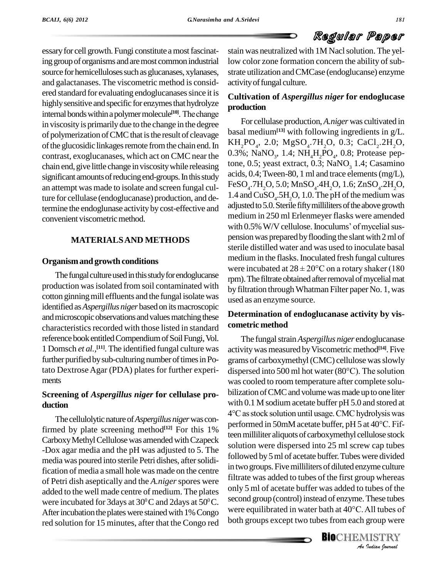# Regular Paper

essary for cell growth. Fungi constitute a most fascinating group of organisms and are most common industrial source for hemicelluloses such as glucanases, xylanases, and galactanases. The viscometric method is considered standard for evaluating endoglucanases since it is<br>highly sensitive and specific for enzymes that hydrolyze<br>internal bonds within a polymer molecule<sup>[10]</sup>. The change highly sensitive and specific for enzymes that hydrolyze internal bonds within a polymer molecule<sup>[10]</sup>. The change of polymerization of CMC that is the result of cleavage of the glucosidic linkages remote from the chain end. In contrast, exoglucanases, which act on CMC near the chain end,give little change inviscositywhile releasing significant amounts of reducing end-groups. In this study an attempt wasmade to isolate and screen fungal culture for cellulase (endoglucanase) production, and determine the endoglunase activityby cost-effective and convenient viscometric method.

### **MATERIALSAND METHODS**

#### **Organismand growth conditions**

The fungal culture used in this study for endoglucanse production was isolated from soil contaminated with cotton ginning mill effluents and the fungal isolate was identified as*Aspergillus niger* basedon itsmacroscopic and microscopic observations and values matching these characteristics recorded with those listed in standard reference book entitled Compendium of Soil Fungi, Vol. 1 Domsch *et al.,* **[11]**. The identified fungal culture was further purified by sub-culturing number of times in Poments

### **Screening of** *Aspergillus niger* **for cellulase pro duction**

The cellulolytic nature of *Aspergillus niger* was confirmed by plate screening method<sup> $[12]$ </sup> For this 1% for millitan Carboxy Methyl Cellulose was amended with Czapeck -Dox agar media and the pH was adjusted to 5. The media was poured into sterile Petri dishes, after solidification of media a small hole was made on the centre of Petri dish aseptically and the *A.niger*spores were added to the well made centre of medium. The plates were incubated for 3 days at 30 $\rm ^{0}C$  and 2 days at 50 $\rm ^{0}C$ . Secondly After incubation the plates were stained with 1% Congo red solution for 15 minutes, after that the Congo red

stain was neutralized with 1M Nacl solution. The yellow color zone formation concern the ability of substrate utilization andCMCase (endoglucanse) enzyme activityoffungal culture.

### **Cultivation of** *Aspergillus niger* **for endoglucase production**

in viscosity is primarily due to the change in the degree<br>of polymerization of CMC that is the result of cleavage basal medium<sup>[13]</sup> with following ingredients in  $g/L$ . For cellulase production,*A.niger* was cultivated in basal medium<sup>[13]</sup> with following ingredients in g/L.<br>KH<sub>2</sub>PO<sub>4</sub>, 2.0; MgSO<sub>4</sub>.7H<sub>2</sub>O, 0.3; CaCl<sub>2</sub>.2H<sub>2</sub>O,  $KH_2PO_4$ , 2.0;  $MgSO_4$ .7H<sub>2</sub>O, 0.3; CaCl<sub>2</sub>.2H<sub>2</sub>O, 0.3%; NaNO<sub>3</sub>, 1.4; NH<sub>4</sub>H<sub>2</sub>PO<sub>4</sub>, 0.8; Protease peptone, 0.5; yeast extract, 0.3;  $NaNO<sub>3</sub>$  1.4; Casamino acids, 0.4;Tween-80, 1 ml and trace elements(mg/L), FeSO<sub>4</sub>.7H<sub>2</sub>O, 5.0; MnSO<sub>4</sub>.4H<sub>2</sub>O, 1.6; ZnSO<sub>4</sub>.2H<sub>2</sub>O, 1.4 and CuSO<sub>4</sub>.5H<sub>2</sub>O, 1.0. The pH of the medium was 1.4 and  $CuSO<sub>4</sub>$ .5H<sub>2</sub>O, 1.0. The pH of the medium was adjusted to 5.0. Sterile fifty milliliters of the above growth medium in 250 ml Erlenmeyer flasks were amended adjusted to 5.0. Sterile fifty milliliters of the above growth<br>medium in 250 ml Erlenmeyer flasks were amended<br>with 0.5% W/V cellulose. Inoculums' of mycelial suspension was prepared by flooding the slant with 2 ml of sterile distilled water and was used to inoculate basal medium in the flasks. Inoculated fresh fungal cultures were incubated at  $28 \pm 20^{\circ}$ C on a rotary shaker (180 rpm). The filtrate obtained after removal of mycelial mat by filtration throughWhatman Filter paper No. 1, was used as an enzyme source.

### **Determination of endoglucanase activity by vis cometric method**

*An*only 5 ml of acetate buffer was added to tubes of the **IDENTIFY At These tracks and the Second group (control) instead of enzyme. These tubes<br>were equilibrated in water bath at 40°C. All tubes of<br>both groups except two tubes from each group were<br><b>BIO**CHEMISTRY tato Dextrose Agar (PDA) plates for further experi-<br>dispersed into 500 ml hot water (80°C). The solution The fungal strain *Aspergillus niger* endoglucanase activity was measured by Viscometric method<sup>[14]</sup>. Five grams of carboxymethyl(CMC) cellulose wasslowly activity was measured by Viscometric method<sup>[14]</sup>. Five<br>grams of carboxymethyl (CMC) cellulose was slowly<br>dispersed into 500 ml hot water (80°C). The solution was cooled to room temperature after complete solu bilization of CMC and volume was made up to one liter with 0.1 M sodium acetate buffer pH 5.0 and stored at bilization of CMC and volume was made up to one liter<br>with 0.1 M sodium acetate buffer pH 5.0 and stored at<br>4°C as stock solution until usage. CMC hydrolysis was with 0.1 M sodium acetate buffer pH 5.0 and stored at 4°C as stock solution until usage. CMC hydrolysis was performed in 50mM acetate buffer, pH 5 at 40°C. Fifteen milliliter aliquots of carboxymethyl cellulose stock solution were dispersed into 25 ml screw cap tubes followed by 5 ml of acetate buffer. Tubes were divided in two groups. Five milliliters of diluted enzyme culture filtrate was added to tubes of the first group whereas second group (control) instead of enzyme. These tubes both groups except two tubes from each group were

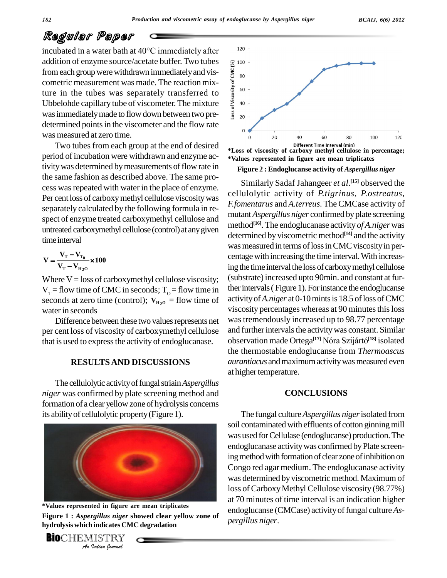# Regular Paper

incubated in <sup>a</sup> water bath at <sup>40</sup>°C immediately after addition of enzyme source/acetate buffer. Two tubes<br>from each group were withdrawn immediately and vis-<br>cometric measurement was made. The reaction mix-<br>ture in the tubes was separately transferred to<br>Ubbelohde capillary from each group were withdrawn immediately and vis- $\frac{g}{g}$   $_{80}$ cometric measurement was made. The reaction mixture in the tubes was separately transferred to  $\frac{2}{8}$ <sup>60</sup> Ubbelohde capillary tube of viscometer. The mixture  $\bar{\xi}$ <sup>40</sup> was immediately made to flow down between two pre- $\ddot{\mathbf{g}}_{\text{eq}}$ determined points in the viscometer and the flow rate was measured at zero time.

Two tubes from each group at the end of desired period of incubation were withdrawn and enzyme activity was determined by measurements of flow rate in the same fashion as described above. The same pro cess was repeated with water in the place of enzyme. Per cent loss of carboxy methyl cellulose viscosity was separately calculated by the following formula in re-spect of enzyme treated carboxymethyl cellulose and untreated carboxymethyl cellulose (control) at any given time interval  $\mathbf{R}$ 

time interval  
\n
$$
V = \frac{V_{\rm T} - V_{\rm T_0}}{V_{\rm T} - V_{\rm H_2O}} \times 100
$$

Where  $V =$  loss of carboxymethyl cellulose viscosity;  $V_T$  = flow time of CMC in seconds;  $T_0$  = flow time in seconds at zero time (control);  $V_{H_{20}}$  = flow time of water in seconds

Difference between these two values represents net per cent loss of viscosity of carboxymethyl cellulose that is used to express the activity of endoglucanase.

#### **RESULTSAND DISCUSSIONS**

The cellulolytic activityoffungalstriain*Aspergillus niger* was confirmed by plate screening method and formation of a clear yellowzone of hydrolysis concerns its abilityof cellulolytic property(Figure 1).



**Indiana** *Indiana*<br>*Indiana*<br>*I*ISTRY<br>*Indian hournal* **\*Values represented in figure are mean triplicates Figure 1 :** *Aspergillus niger* **showed clear yellow zone of hydrolysis which indicates CMC degradation**





**\*Loss of viscosity ofcarboxy methyl cellulose in percentage; \*Values represented in figure are mean triplicates**

**Figure 2 : Endoglucanse activity of** *Aspergillus niger*

Similarly Sadaf Jahangeer *et al*. **[15]** observed the cellulolytic activity of*P.tigrinus*, *P.ostreatus*, *F.fomentarus* and*A.terreus*. TheCMCase activity of mutant*Aspergillus niger* confirmed byplate screening method **[16]**. The endoglucanase activity *of A.niger*was determined by viscometric method<sup>[14]</sup> and the activity was measured in terms of loss in CMC viscosity in percentage with increasing the time interval. With increasing the time interval the loss of carboxy methyl cellulose (substrate) increased upto 90min. and constant at further intervals (Figure 1). For instance the endoglucanse activity of *A.niger* at 0-10 mints is 18.5 of loss of CMC viscosity percentages whereas at 90 minutes this loss wastremendously increased up to 98.77 percentage and further intervals the activity was constant. Similar was tremendously increased up to 98.77 percentage<br>and further intervals the activity was constant. Similar<br>observation made Ortega<sup>[17]</sup> Nóra Szijártó<sup>[18]</sup> isolated the thermostable endoglucanse from *Thermoascus aurantiacus* and maximum activity was measured even at higher temperature.

#### **CONCLUSIONS**

The fungal culture*Aspergillus niger*isolated from soil contaminated with effluents of cotton ginning mill was used forCellulase (endoglucanse) production.The endoglucanase activity was confirmed by Plate screening method with formation of clear zone of inhibition on Congo red agar medium. The endoglucanase activity was determined by viscometric method. Maximum of loss of Carboxy Methyl Cellulose viscosity (98.77%) at 70 minutes of time interval is an indication higher endoglucanse (CMCase) activity of fungal culture *Aspergillus niger*.